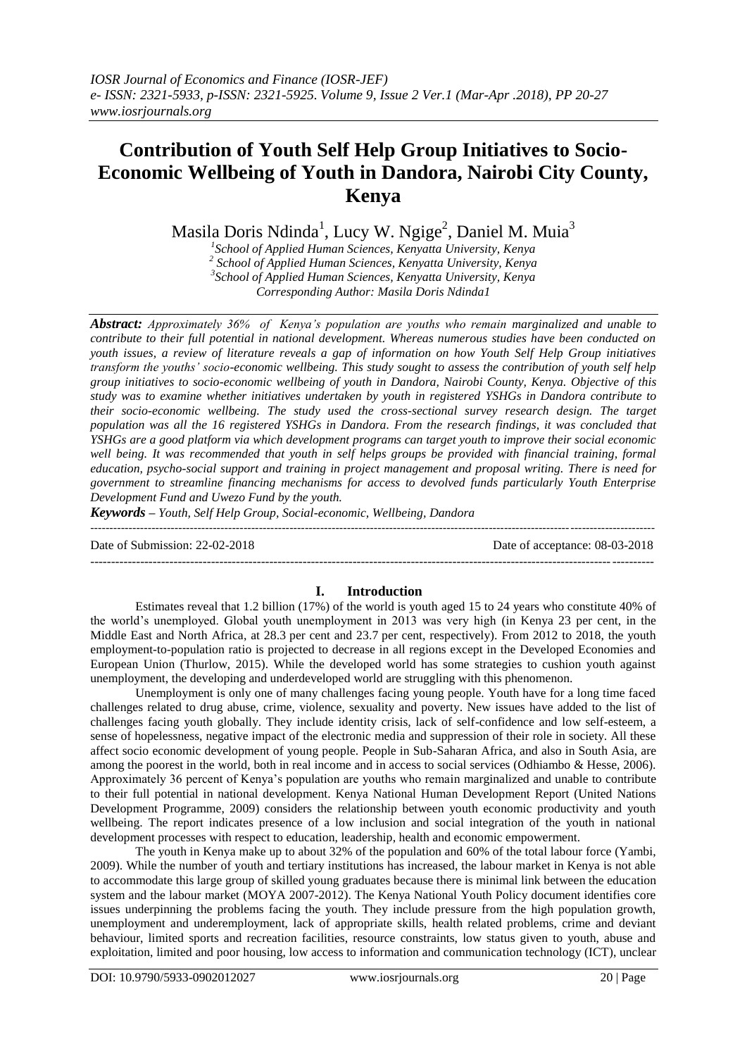# **Contribution of Youth Self Help Group Initiatives to Socio-Economic Wellbeing of Youth in Dandora, Nairobi City County, Kenya**

Masila Doris Ndinda<sup>1</sup>, Lucy W. Ngige<sup>2</sup>, Daniel M. Muia<sup>3</sup>

*1 School of Applied Human Sciences, Kenyatta University, Kenya 2 School of Applied Human Sciences, Kenyatta University, Kenya 3 School of Applied Human Sciences, Kenyatta University, Kenya Corresponding Author: Masila Doris Ndinda1*

*Abstract: Approximately 36% of Kenya's population are youths who remain marginalized and unable to contribute to their full potential in national development. Whereas numerous studies have been conducted on youth issues, a review of literature reveals a gap of information on how Youth Self Help Group initiatives transform the youths' socio-economic wellbeing. This study sought to assess the contribution of youth self help group initiatives to socio-economic wellbeing of youth in Dandora, Nairobi County, Kenya. Objective of this study was to examine whether initiatives undertaken by youth in registered YSHGs in Dandora contribute to their socio-economic wellbeing. The study used the cross-sectional survey research design. The target population was all the 16 registered YSHGs in Dandora. From the research findings, it was concluded that YSHGs are a good platform via which development programs can target youth to improve their social economic*  well being. It was recommended that youth in self helps groups be provided with financial training, formal *education, psycho-social support and training in project management and proposal writing. There is need for government to streamline financing mechanisms for access to devolved funds particularly Youth Enterprise Development Fund and Uwezo Fund by the youth.*

*Keywords – Youth, Self Help Group, Social-economic, Wellbeing, Dandora*

Date of Submission: 22-02-2018 Date of acceptance: 08-03-2018

---------------------------------------------------------------------------------------------------------------------------------------

# **I. Introduction**

Estimates reveal that 1.2 billion (17%) of the world is youth aged 15 to 24 years who constitute 40% of the world's unemployed. Global youth unemployment in 2013 was very high (in Kenya 23 per cent, in the Middle East and North Africa, at 28.3 per cent and 23.7 per cent, respectively). From 2012 to 2018, the youth employment-to-population ratio is projected to decrease in all regions except in the Developed Economies and European Union (Thurlow, 2015). While the developed world has some strategies to cushion youth against unemployment, the developing and underdeveloped world are struggling with this phenomenon.

Unemployment is only one of many challenges facing young people. Youth have for a long time faced challenges related to drug abuse, crime, violence, sexuality and poverty. New issues have added to the list of challenges facing youth globally. They include identity crisis, lack of self-confidence and low self-esteem, a sense of hopelessness, negative impact of the electronic media and suppression of their role in society. All these affect socio economic development of young people. People in Sub-Saharan Africa, and also in South Asia, are among the poorest in the world, both in real income and in access to social services (Odhiambo & Hesse, 2006). Approximately 36 percent of Kenya's population are youths who remain marginalized and unable to contribute to their full potential in national development. Kenya National Human Development Report (United Nations Development Programme, 2009) considers the relationship between youth economic productivity and youth wellbeing. The report indicates presence of a low inclusion and social integration of the youth in national development processes with respect to education, leadership, health and economic empowerment.

The youth in Kenya make up to about 32% of the population and 60% of the total labour force (Yambi, 2009). While the number of youth and tertiary institutions has increased, the labour market in Kenya is not able to accommodate this large group of skilled young graduates because there is minimal link between the education system and the labour market (MOYA 2007-2012). The Kenya National Youth Policy document identifies core issues underpinning the problems facing the youth. They include pressure from the high population growth, unemployment and underemployment, lack of appropriate skills, health related problems, crime and deviant behaviour, limited sports and recreation facilities, resource constraints, low status given to youth, abuse and exploitation, limited and poor housing, low access to information and communication technology (ICT), unclear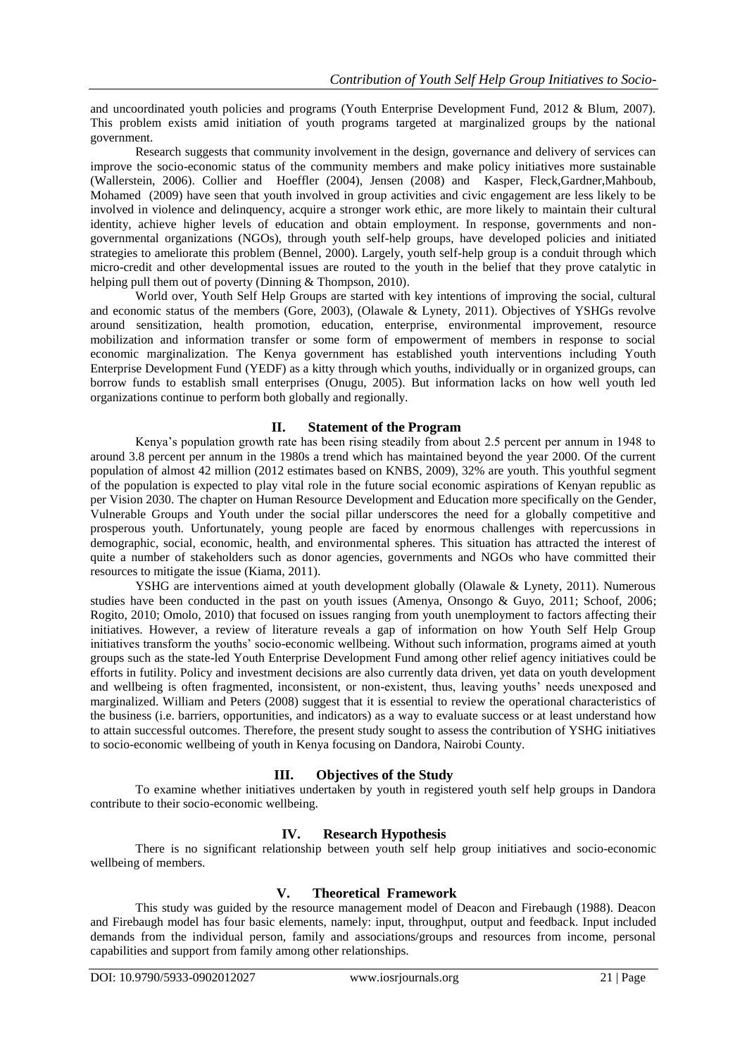and uncoordinated youth policies and programs (Youth Enterprise Development Fund, 2012 & Blum, 2007). This problem exists amid initiation of youth programs targeted at marginalized groups by the national government.

Research suggests that community involvement in the design, governance and delivery of services can improve the socio-economic status of the community members and make policy initiatives more sustainable (Wallerstein, 2006). Collier and Hoeffler (2004), Jensen (2008) and Kasper, Fleck,Gardner,Mahboub, Mohamed (2009) have seen that youth involved in group activities and civic engagement are less likely to be involved in violence and delinquency, acquire a stronger work ethic, are more likely to maintain their cultural identity, achieve higher levels of education and obtain employment. In response, governments and nongovernmental organizations (NGOs), through youth self-help groups, have developed policies and initiated strategies to ameliorate this problem (Bennel, 2000). Largely, youth self-help group is a conduit through which micro-credit and other developmental issues are routed to the youth in the belief that they prove catalytic in helping pull them out of poverty (Dinning & Thompson, 2010).

World over, Youth Self Help Groups are started with key intentions of improving the social, cultural and economic status of the members (Gore, 2003), (Olawale & Lynety, 2011). Objectives of YSHGs revolve around sensitization, health promotion, education, enterprise, environmental improvement, resource mobilization and information transfer or some form of empowerment of members in response to social economic marginalization. The Kenya government has established youth interventions including Youth Enterprise Development Fund (YEDF) as a kitty through which youths, individually or in organized groups, can borrow funds to establish small enterprises (Onugu, 2005). But information lacks on how well youth led organizations continue to perform both globally and regionally.

# **II. Statement of the Program**

Kenya's population growth rate has been rising steadily from about 2.5 percent per annum in 1948 to around 3.8 percent per annum in the 1980s a trend which has maintained beyond the year 2000. Of the current population of almost 42 million (2012 estimates based on KNBS, 2009), 32% are youth. This youthful segment of the population is expected to play vital role in the future social economic aspirations of Kenyan republic as per Vision 2030. The chapter on Human Resource Development and Education more specifically on the Gender, Vulnerable Groups and Youth under the social pillar underscores the need for a globally competitive and prosperous youth. Unfortunately, young people are faced by enormous challenges with repercussions in demographic, social, economic, health, and environmental spheres. This situation has attracted the interest of quite a number of stakeholders such as donor agencies, governments and NGOs who have committed their resources to mitigate the issue (Kiama, 2011).

YSHG are interventions aimed at youth development globally (Olawale & Lynety, 2011). Numerous studies have been conducted in the past on youth issues (Amenya, Onsongo & Guyo, 2011; Schoof, 2006; Rogito, 2010; Omolo, 2010) that focused on issues ranging from youth unemployment to factors affecting their initiatives. However, a review of literature reveals a gap of information on how Youth Self Help Group initiatives transform the youths' socio-economic wellbeing. Without such information, programs aimed at youth groups such as the state-led Youth Enterprise Development Fund among other relief agency initiatives could be efforts in futility. Policy and investment decisions are also currently data driven, yet data on youth development and wellbeing is often fragmented, inconsistent, or non-existent, thus, leaving youths' needs unexposed and marginalized. William and Peters (2008) suggest that it is essential to review the operational characteristics of the business (i.e. barriers, opportunities, and indicators) as a way to evaluate success or at least understand how to attain successful outcomes. Therefore, the present study sought to assess the contribution of YSHG initiatives to socio-economic wellbeing of youth in Kenya focusing on Dandora, Nairobi County.

# **III. Objectives of the Study**

To examine whether initiatives undertaken by youth in registered youth self help groups in Dandora contribute to their socio-economic wellbeing.

# **IV. Research Hypothesis**

There is no significant relationship between youth self help group initiatives and socio-economic wellbeing of members.

# **V. Theoretical Framework**

This study was guided by the resource management model of Deacon and Firebaugh (1988). Deacon and Firebaugh model has four basic elements, namely: input, throughput, output and feedback. Input included demands from the individual person, family and associations/groups and resources from income, personal capabilities and support from family among other relationships.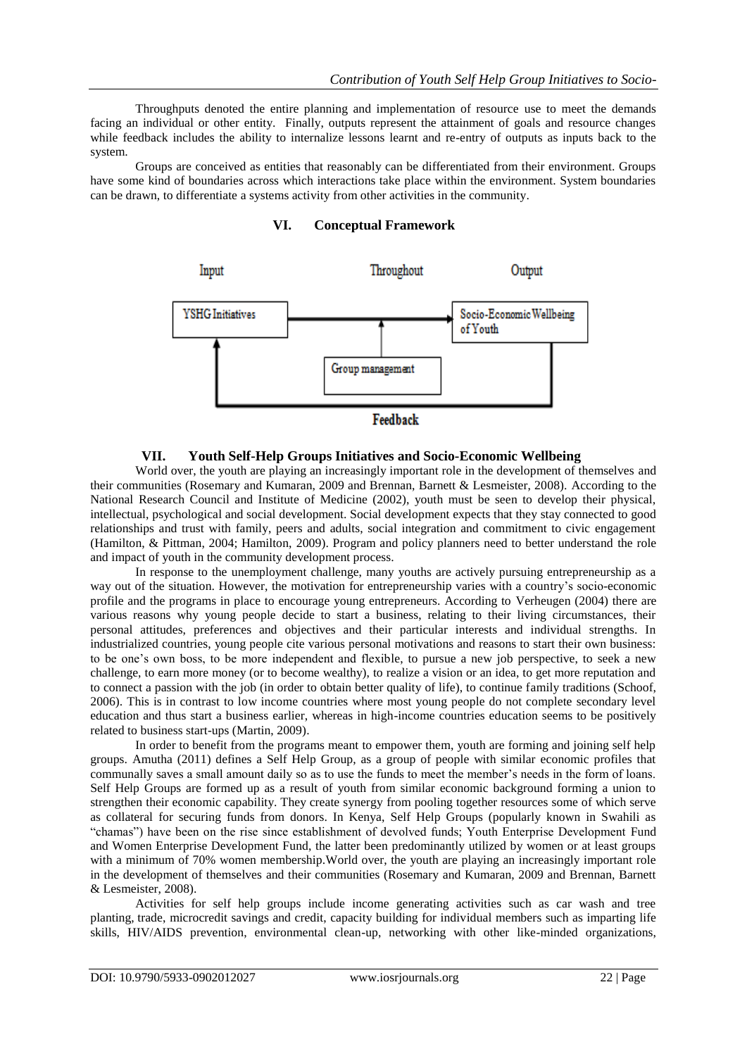Throughputs denoted the entire planning and implementation of resource use to meet the demands facing an individual or other entity. Finally, outputs represent the attainment of goals and resource changes while feedback includes the ability to internalize lessons learnt and re-entry of outputs as inputs back to the system.

Groups are conceived as entities that reasonably can be differentiated from their environment. Groups have some kind of boundaries across which interactions take place within the environment. System boundaries can be drawn, to differentiate a systems activity from other activities in the community.

## **VI. Conceptual Framework**



## **VII. Youth Self-Help Groups Initiatives and Socio-Economic Wellbeing**

World over, the youth are playing an increasingly important role in the development of themselves and their communities (Rosemary and Kumaran, 2009 and Brennan, Barnett & Lesmeister, 2008). According to the National Research Council and Institute of Medicine (2002), youth must be seen to develop their physical, intellectual, psychological and social development. Social development expects that they stay connected to good relationships and trust with family, peers and adults, social integration and commitment to civic engagement (Hamilton, & Pittman, 2004; Hamilton, 2009). Program and policy planners need to better understand the role and impact of youth in the community development process.

In response to the unemployment challenge, many youths are actively pursuing entrepreneurship as a way out of the situation. However, the motivation for entrepreneurship varies with a country's socio-economic profile and the programs in place to encourage young entrepreneurs. According to Verheugen (2004) there are various reasons why young people decide to start a business, relating to their living circumstances, their personal attitudes, preferences and objectives and their particular interests and individual strengths. In industrialized countries, young people cite various personal motivations and reasons to start their own business: to be one's own boss, to be more independent and flexible, to pursue a new job perspective, to seek a new challenge, to earn more money (or to become wealthy), to realize a vision or an idea, to get more reputation and to connect a passion with the job (in order to obtain better quality of life), to continue family traditions (Schoof, 2006). This is in contrast to low income countries where most young people do not complete secondary level education and thus start a business earlier, whereas in high-income countries education seems to be positively related to business start-ups (Martin, 2009).

In order to benefit from the programs meant to empower them, youth are forming and joining self help groups. Amutha (2011) defines a Self Help Group, as a group of people with similar economic profiles that communally saves a small amount daily so as to use the funds to meet the member's needs in the form of loans. Self Help Groups are formed up as a result of youth from similar economic background forming a union to strengthen their economic capability. They create synergy from pooling together resources some of which serve as collateral for securing funds from donors. In Kenya, Self Help Groups (popularly known in Swahili as "chamas") have been on the rise since establishment of devolved funds; Youth Enterprise Development Fund and Women Enterprise Development Fund, the latter been predominantly utilized by women or at least groups with a minimum of 70% women membership. World over, the youth are playing an increasingly important role in the development of themselves and their communities (Rosemary and Kumaran, 2009 and Brennan, Barnett & Lesmeister, 2008).

Activities for self help groups include income generating activities such as car wash and tree planting, trade, microcredit savings and credit, capacity building for individual members such as imparting life skills, HIV/AIDS prevention, environmental clean-up, networking with other like-minded organizations,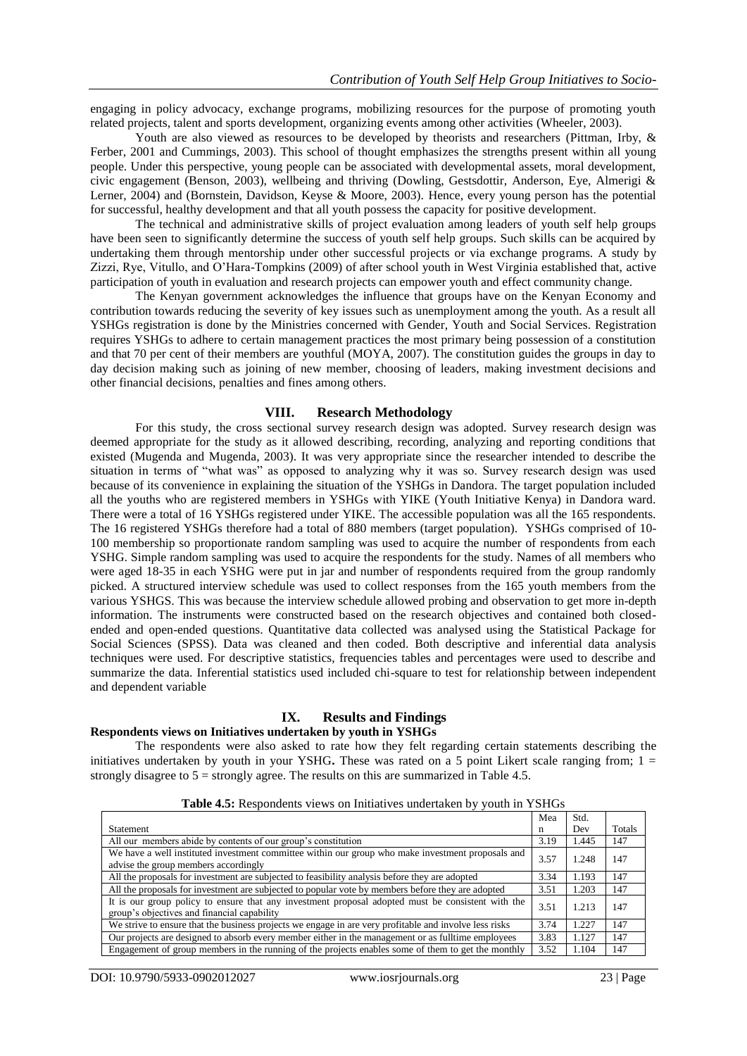engaging in policy advocacy, exchange programs, mobilizing resources for the purpose of promoting youth related projects, talent and sports development, organizing events among other activities (Wheeler, 2003).

Youth are also viewed as resources to be developed by theorists and researchers (Pittman, Irby, & Ferber, 2001 and Cummings, 2003). This school of thought emphasizes the strengths present within all young people. Under this perspective, young people can be associated with developmental assets, moral development, civic engagement (Benson, 2003), wellbeing and thriving (Dowling, Gestsdottir, Anderson, Eye, Almerigi & Lerner, 2004) and (Bornstein, Davidson, Keyse & Moore, 2003). Hence, every young person has the potential for successful, healthy development and that all youth possess the capacity for positive development.

The technical and administrative skills of project evaluation among leaders of youth self help groups have been seen to significantly determine the success of youth self help groups. Such skills can be acquired by undertaking them through mentorship under other successful projects or via exchange programs. A study by Zizzi, Rye, Vitullo, and O'Hara-Tompkins (2009) of after school youth in West Virginia established that, active participation of youth in evaluation and research projects can empower youth and effect community change.

The Kenyan government acknowledges the influence that groups have on the Kenyan Economy and contribution towards reducing the severity of key issues such as unemployment among the youth. As a result all YSHGs registration is done by the Ministries concerned with Gender, Youth and Social Services. Registration requires YSHGs to adhere to certain management practices the most primary being possession of a constitution and that 70 per cent of their members are youthful (MOYA, 2007). The constitution guides the groups in day to day decision making such as joining of new member, choosing of leaders, making investment decisions and other financial decisions, penalties and fines among others.

#### **VIII. Research Methodology**

For this study, the cross sectional survey research design was adopted. Survey research design was deemed appropriate for the study as it allowed describing, recording, analyzing and reporting conditions that existed (Mugenda and Mugenda, 2003). It was very appropriate since the researcher intended to describe the situation in terms of "what was" as opposed to analyzing why it was so. Survey research design was used because of its convenience in explaining the situation of the YSHGs in Dandora. The target population included all the youths who are registered members in YSHGs with YIKE (Youth Initiative Kenya) in Dandora ward. There were a total of 16 YSHGs registered under YIKE. The accessible population was all the 165 respondents. The 16 registered YSHGs therefore had a total of 880 members (target population). YSHGs comprised of 10- 100 membership so proportionate random sampling was used to acquire the number of respondents from each YSHG. Simple random sampling was used to acquire the respondents for the study. Names of all members who were aged 18-35 in each YSHG were put in jar and number of respondents required from the group randomly picked. A structured interview schedule was used to collect responses from the 165 youth members from the various YSHGS. This was because the interview schedule allowed probing and observation to get more in-depth information. The instruments were constructed based on the research objectives and contained both closedended and open-ended questions. Quantitative data collected was analysed using the Statistical Package for Social Sciences (SPSS). Data was cleaned and then coded. Both descriptive and inferential data analysis techniques were used. For descriptive statistics, frequencies tables and percentages were used to describe and summarize the data. Inferential statistics used included chi-square to test for relationship between independent and dependent variable

#### **IX. Results and Findings**

#### **Respondents views on Initiatives undertaken by youth in YSHGs**

The respondents were also asked to rate how they felt regarding certain statements describing the initiatives undertaken by youth in your YSHG**.** These was rated on a 5 point Likert scale ranging from; 1 = strongly disagree to  $5 =$  strongly agree. The results on this are summarized in Table 4.5.

|                                                                                                                                                  | Mea  | Std.  |        |
|--------------------------------------------------------------------------------------------------------------------------------------------------|------|-------|--------|
| <b>Statement</b>                                                                                                                                 | n    | Dev   | Totals |
| All our members abide by contents of our group's constitution                                                                                    | 3.19 | 1.445 | 147    |
| We have a well instituted investment committee within our group who make investment proposals and<br>advise the group members accordingly        | 3.57 | 1.248 | 147    |
| All the proposals for investment are subjected to feasibility analysis before they are adopted                                                   | 3.34 | 1.193 | 147    |
| All the proposals for investment are subjected to popular vote by members before they are adopted                                                | 3.51 | 1.203 | 147    |
| It is our group policy to ensure that any investment proposal adopted must be consistent with the<br>group's objectives and financial capability | 3.51 | 1.213 | 147    |
| We strive to ensure that the business projects we engage in are very profitable and involve less risks                                           | 3.74 | 1.227 | 147    |
| Our projects are designed to absorb every member either in the management or as full time employees                                              | 3.83 | 1.127 | 147    |
| Engagement of group members in the running of the projects enables some of them to get the monthly                                               | 3.52 | 1.104 | 147    |

**Table 4.5:** Respondents views on Initiatives undertaken by youth in YSHGs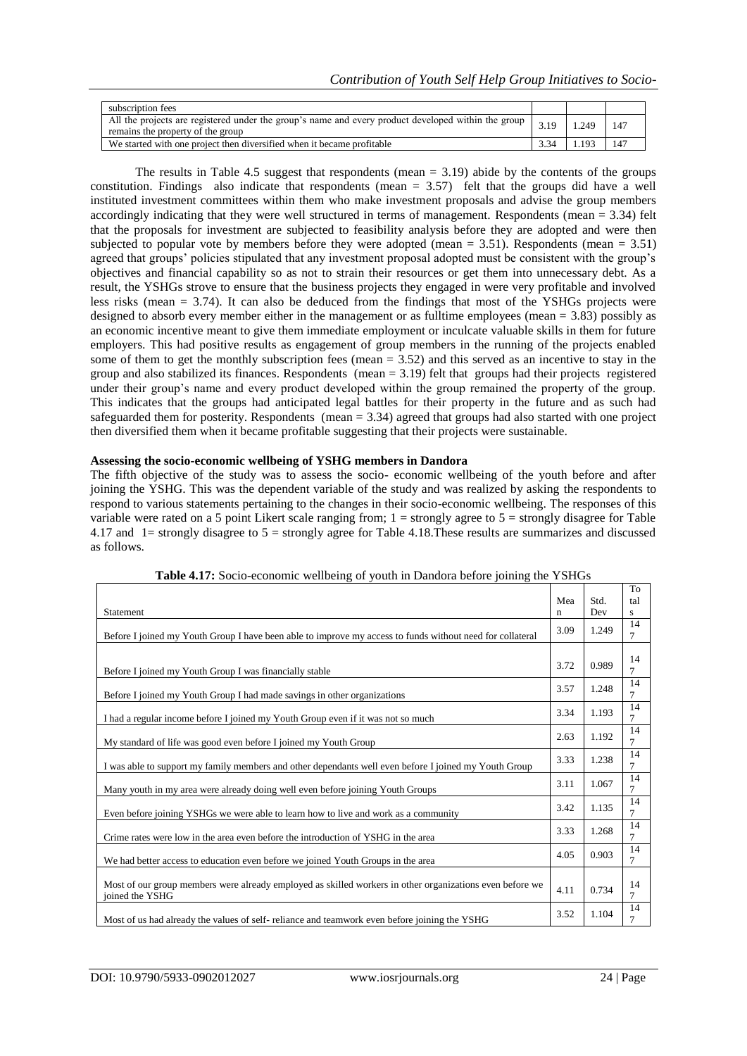| subscription fees                                                                                                                        |      |       |     |
|------------------------------------------------------------------------------------------------------------------------------------------|------|-------|-----|
| All the projects are registered under the group's name and every product developed within the group<br>remains the property of the group | 3.19 | 1.249 | 147 |
| We started with one project then diversified when it became profitable                                                                   | 3.34 | 193   |     |

The results in Table 4.5 suggest that respondents (mean = 3.19) abide by the contents of the groups constitution. Findings also indicate that respondents (mean = 3.57) felt that the groups did have a well instituted investment committees within them who make investment proposals and advise the group members accordingly indicating that they were well structured in terms of management. Respondents (mean = 3.34) felt that the proposals for investment are subjected to feasibility analysis before they are adopted and were then subjected to popular vote by members before they were adopted (mean  $= 3.51$ ). Respondents (mean  $= 3.51$ ) agreed that groups' policies stipulated that any investment proposal adopted must be consistent with the group's objectives and financial capability so as not to strain their resources or get them into unnecessary debt. As a result, the YSHGs strove to ensure that the business projects they engaged in were very profitable and involved less risks (mean = 3.74). It can also be deduced from the findings that most of the YSHGs projects were designed to absorb every member either in the management or as fulltime employees (mean = 3.83) possibly as an economic incentive meant to give them immediate employment or inculcate valuable skills in them for future employers. This had positive results as engagement of group members in the running of the projects enabled some of them to get the monthly subscription fees (mean = 3.52) and this served as an incentive to stay in the group and also stabilized its finances. Respondents (mean = 3.19) felt that groups had their projects registered under their group's name and every product developed within the group remained the property of the group. This indicates that the groups had anticipated legal battles for their property in the future and as such had safeguarded them for posterity. Respondents (mean = 3.34) agreed that groups had also started with one project then diversified them when it became profitable suggesting that their projects were sustainable.

## **Assessing the socio-economic wellbeing of YSHG members in Dandora**

The fifth objective of the study was to assess the socio- economic wellbeing of the youth before and after joining the YSHG. This was the dependent variable of the study and was realized by asking the respondents to respond to various statements pertaining to the changes in their socio-economic wellbeing. The responses of this variable were rated on a 5 point Likert scale ranging from;  $1 =$  strongly agree to  $5 =$  strongly disagree for Table 4.17 and 1= strongly disagree to 5 = strongly agree for Table 4.18.These results are summarizes and discussed as follows.

|                                                                                                                             | Mea  | Std.  | To<br>tal            |
|-----------------------------------------------------------------------------------------------------------------------------|------|-------|----------------------|
| Statement                                                                                                                   | n    | Dev   | s                    |
| Before I joined my Youth Group I have been able to improve my access to funds without need for collateral                   | 3.09 | 1.249 | 14<br>$\overline{7}$ |
| Before I joined my Youth Group I was financially stable                                                                     | 3.72 | 0.989 | 14<br>$\overline{7}$ |
| Before I joined my Youth Group I had made savings in other organizations                                                    | 3.57 | 1.248 | 14<br>7              |
| I had a regular income before I joined my Youth Group even if it was not so much                                            | 3.34 | 1.193 | 14<br>$\overline{7}$ |
| My standard of life was good even before I joined my Youth Group                                                            | 2.63 | 1.192 | 14<br>$\overline{7}$ |
| I was able to support my family members and other dependants well even before I joined my Youth Group                       | 3.33 | 1.238 | 14<br>7              |
| Many youth in my area were already doing well even before joining Youth Groups                                              | 3.11 | 1.067 | 14<br>$\overline{7}$ |
| Even before joining YSHGs we were able to learn how to live and work as a community                                         | 3.42 | 1.135 | 14<br>7              |
| Crime rates were low in the area even before the introduction of YSHG in the area                                           | 3.33 | 1.268 | 14<br>7              |
| We had better access to education even before we joined Youth Groups in the area                                            | 4.05 | 0.903 | 14<br>7              |
| Most of our group members were already employed as skilled workers in other organizations even before we<br>joined the YSHG | 4.11 | 0.734 | 14<br>$\overline{7}$ |
| Most of us had already the values of self-reliance and teamwork even before joining the YSHG                                | 3.52 | 1.104 | 14<br>$\overline{7}$ |

**Table 4.17:** Socio-economic wellbeing of youth in Dandora before joining the YSHGs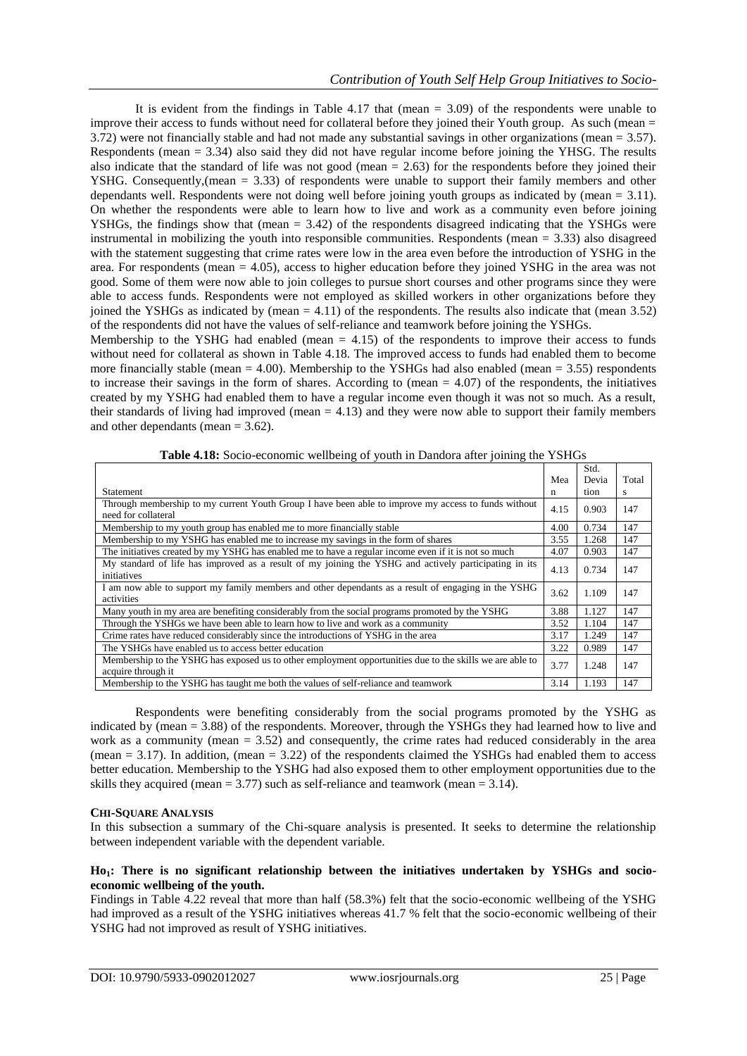It is evident from the findings in Table 4.17 that (mean  $= 3.09$ ) of the respondents were unable to improve their access to funds without need for collateral before they joined their Youth group. As such (mean = 3.72) were not financially stable and had not made any substantial savings in other organizations (mean = 3.57). Respondents (mean = 3.34) also said they did not have regular income before joining the YHSG. The results also indicate that the standard of life was not good (mean = 2.63) for the respondents before they joined their YSHG. Consequently,(mean = 3.33) of respondents were unable to support their family members and other dependants well. Respondents were not doing well before joining youth groups as indicated by (mean = 3.11). On whether the respondents were able to learn how to live and work as a community even before joining YSHGs, the findings show that (mean = 3.42) of the respondents disagreed indicating that the YSHGs were instrumental in mobilizing the youth into responsible communities. Respondents (mean = 3.33) also disagreed with the statement suggesting that crime rates were low in the area even before the introduction of YSHG in the area. For respondents (mean = 4.05), access to higher education before they joined YSHG in the area was not good. Some of them were now able to join colleges to pursue short courses and other programs since they were able to access funds. Respondents were not employed as skilled workers in other organizations before they joined the YSHGs as indicated by (mean  $= 4.11$ ) of the respondents. The results also indicate that (mean 3.52) of the respondents did not have the values of self-reliance and teamwork before joining the YSHGs.

Membership to the YSHG had enabled (mean  $= 4.15$ ) of the respondents to improve their access to funds without need for collateral as shown in Table 4.18. The improved access to funds had enabled them to become more financially stable (mean  $= 4.00$ ). Membership to the YSHGs had also enabled (mean  $= 3.55$ ) respondents to increase their savings in the form of shares. According to (mean  $= 4.07$ ) of the respondents, the initiatives created by my YSHG had enabled them to have a regular income even though it was not so much. As a result, their standards of living had improved (mean  $= 4.13$ ) and they were now able to support their family members and other dependants (mean = 3.62).

|                                                                                                                                |      | Std.  |       |
|--------------------------------------------------------------------------------------------------------------------------------|------|-------|-------|
|                                                                                                                                | Mea  | Devia | Total |
| Statement                                                                                                                      | n    | tion  | S     |
| Through membership to my current Youth Group I have been able to improve my access to funds without<br>need for collateral     | 4.15 | 0.903 | 147   |
| Membership to my youth group has enabled me to more financially stable                                                         | 4.00 | 0.734 | 147   |
| Membership to my YSHG has enabled me to increase my savings in the form of shares                                              | 3.55 | 1.268 | 147   |
| The initiatives created by my YSHG has enabled me to have a regular income even if it is not so much                           | 4.07 | 0.903 | 147   |
| My standard of life has improved as a result of my joining the YSHG and actively participating in its<br>initiatives           | 4.13 | 0.734 | 147   |
| I am now able to support my family members and other dependants as a result of engaging in the YSHG<br>activities              | 3.62 | 1.109 | 147   |
| Many youth in my area are benefiting considerably from the social programs promoted by the YSHG                                | 3.88 | 1.127 | 147   |
| Through the YSHGs we have been able to learn how to live and work as a community                                               | 3.52 | 1.104 | 147   |
| Crime rates have reduced considerably since the introductions of YSHG in the area                                              | 3.17 | 1.249 | 147   |
| The YSHGs have enabled us to access better education                                                                           | 3.22 | 0.989 | 147   |
| Membership to the YSHG has exposed us to other employment opportunities due to the skills we are able to<br>acquire through it | 3.77 | 1.248 | 147   |
| Membership to the YSHG has taught me both the values of self-reliance and teamwork                                             | 3.14 | 1.193 | 147   |

**Table 4.18:** Socio-economic wellbeing of youth in Dandora after joining the YSHGs

Respondents were benefiting considerably from the social programs promoted by the YSHG as indicated by (mean = 3.88) of the respondents. Moreover, through the YSHGs they had learned how to live and work as a community (mean  $= 3.52$ ) and consequently, the crime rates had reduced considerably in the area (mean  $= 3.17$ ). In addition, (mean  $= 3.22$ ) of the respondents claimed the YSHGs had enabled them to access better education. Membership to the YSHG had also exposed them to other employment opportunities due to the skills they acquired (mean = 3.77) such as self-reliance and teamwork (mean = 3.14).

## **CHI-SQUARE ANALYSIS**

In this subsection a summary of the Chi-square analysis is presented. It seeks to determine the relationship between independent variable with the dependent variable.

## **Ho1: There is no significant relationship between the initiatives undertaken by YSHGs and socioeconomic wellbeing of the youth.**

Findings in Table 4.22 reveal that more than half (58.3%) felt that the socio-economic wellbeing of the YSHG had improved as a result of the YSHG initiatives whereas 41.7 % felt that the socio-economic wellbeing of their YSHG had not improved as result of YSHG initiatives.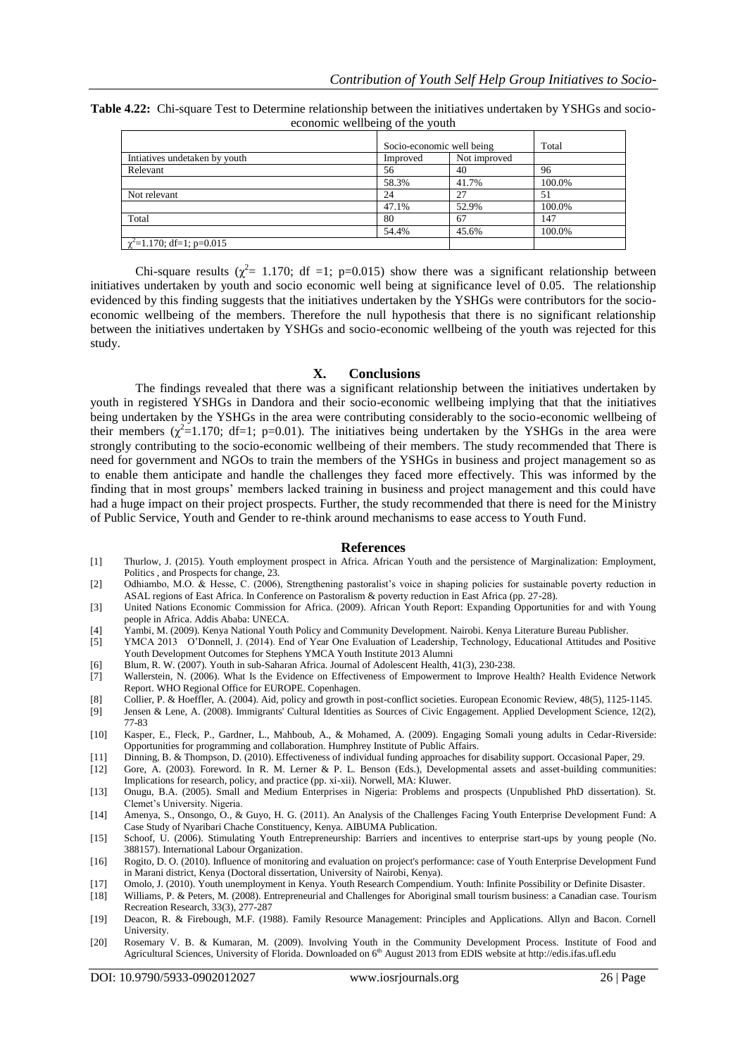|                                 |  |  |  |  | <b>Table 4.22:</b> Chi-square Test to Determine relationship between the initiatives undertaken by YSHGs and socio- |  |  |  |  |  |
|---------------------------------|--|--|--|--|---------------------------------------------------------------------------------------------------------------------|--|--|--|--|--|
| economic wellbeing of the youth |  |  |  |  |                                                                                                                     |  |  |  |  |  |
|                                 |  |  |  |  |                                                                                                                     |  |  |  |  |  |

|                                | Socio-economic well being | Total |        |  |  |
|--------------------------------|---------------------------|-------|--------|--|--|
| Intiatives undetaken by youth  | Not improved<br>Improved  |       |        |  |  |
| Relevant                       | 56                        | 40    | 96     |  |  |
|                                | 58.3%                     | 41.7% | 100.0% |  |  |
| Not relevant                   | 24                        | 27    | 51     |  |  |
|                                | 47.1%                     | 52.9% | 100.0% |  |  |
| Total                          | 80                        | 67    | 147    |  |  |
|                                | 54.4%                     | 45.6% | 100.0% |  |  |
| $\chi^2$ =1.170; df=1; p=0.015 |                           |       |        |  |  |

Chi-square results ( $\chi^2$  = 1.170; df =1; p=0.015) show there was a significant relationship between initiatives undertaken by youth and socio economic well being at significance level of 0.05. The relationship evidenced by this finding suggests that the initiatives undertaken by the YSHGs were contributors for the socioeconomic wellbeing of the members. Therefore the null hypothesis that there is no significant relationship between the initiatives undertaken by YSHGs and socio-economic wellbeing of the youth was rejected for this study.

#### **X. Conclusions**

The findings revealed that there was a significant relationship between the initiatives undertaken by youth in registered YSHGs in Dandora and their socio-economic wellbeing implying that that the initiatives being undertaken by the YSHGs in the area were contributing considerably to the socio-economic wellbeing of their members ( $\chi^2$ =1.170; df=1; p=0.01). The initiatives being undertaken by the YSHGs in the area were strongly contributing to the socio-economic wellbeing of their members. The study recommended that There is need for government and NGOs to train the members of the YSHGs in business and project management so as to enable them anticipate and handle the challenges they faced more effectively. This was informed by the finding that in most groups' members lacked training in business and project management and this could have had a huge impact on their project prospects. Further, the study recommended that there is need for the Ministry of Public Service, Youth and Gender to re-think around mechanisms to ease access to Youth Fund.

#### **References**

- [1] Thurlow, J. (2015). Youth employment prospect in Africa. African Youth and the persistence of Marginalization: Employment, Politics , and Prospects for change, 23.
- [2] Odhiambo, M.O. & Hesse, C. (2006), Strengthening pastoralist's voice in shaping policies for sustainable poverty reduction in ASAL regions of East Africa. In Conference on Pastoralism & poverty reduction in East Africa (pp. 27-28).
- [3] United Nations Economic Commission for Africa. (2009). African Youth Report: Expanding Opportunities for and with Young people in Africa. Addis Ababa: UNECA.
- [4] Yambi, M. (2009). Kenya National Youth Policy and Community Development. Nairobi. Kenya Literature Bureau Publisher.
- [5] YMCA 2013 O'Donnell, J. (2014). End of Year One Evaluation of Leadership, Technology, Educational Attitudes and Positive Youth Development Outcomes for Stephens YMCA Youth Institute 2013 Alumni
- [6] Blum, R. W. (2007). Youth in sub-Saharan Africa. Journal of Adolescent Health, 41(3), 230-238.
- [7] Wallerstein, N. (2006). What Is the Evidence on Effectiveness of Empowerment to Improve Health? Health Evidence Network Report. WHO Regional Office for EUROPE. Copenhagen.
- [8] Collier, P. & Hoeffler, A. (2004). Aid, policy and growth in post-conflict societies. European Economic Review, 48(5), 1125-1145.
- Jensen & Lene, A. (2008). Immigrants' Cultural Identities as Sources of Civic Engagement. Applied Development Science, 12(2), 77-83
- [10] Kasper, E., Fleck, P., Gardner, L., Mahboub, A., & Mohamed, A. (2009). Engaging Somali young adults in Cedar-Riverside: Opportunities for programming and collaboration. Humphrey Institute of Public Affairs.
- [11] Dinning, B. & Thompson, D. (2010). Effectiveness of individual funding approaches for disability support. Occasional Paper, 29.
- [12] Gore, A. (2003). Foreword. In R. M. Lerner & P. L. Benson (Eds.), Developmental assets and asset-building communities: Implications for research, policy, and practice (pp. xi-xii). Norwell, MA: Kluwer.
- [13] Onugu, B.A. (2005). Small and Medium Enterprises in Nigeria: Problems and prospects (Unpublished PhD dissertation). St. Clemet's University. Nigeria.
- [14] Amenya, S., Onsongo, O., & Guyo, H. G. (2011). An Analysis of the Challenges Facing Youth Enterprise Development Fund: A Case Study of Nyaribari Chache Constituency, Kenya. AIBUMA Publication.
- [15] Schoof, U. (2006). Stimulating Youth Entrepreneurship: Barriers and incentives to enterprise start-ups by young people (No. 388157). International Labour Organization.
- [16] Rogito, D. O. (2010). Influence of monitoring and evaluation on project's performance: case of Youth Enterprise Development Fund in Marani district, Kenya (Doctoral dissertation, University of Nairobi, Kenya).
- [17] Omolo, J. (2010). Youth unemployment in Kenya. Youth Research Compendium. Youth: Infinite Possibility or Definite Disaster.
- [18] Williams, P. & Peters, M. (2008). Entrepreneurial and Challenges for Aboriginal small tourism business: a Canadian case. Tourism Recreation Research, 33(3), 277-287
- [19] Deacon, R. & Firebough, M.F. (1988). Family Resource Management: Principles and Applications. Allyn and Bacon. Cornell University.
- [20] Rosemary V. B. & Kumaran, M. (2009). Involving Youth in the Community Development Process. Institute of Food and Agricultural Sciences, University of Florida. Downloaded on 6<sup>th</sup> August 2013 from EDIS website at [http://edis.ifas.ufl.edu](http://edis.ifas.ufl.edu/)